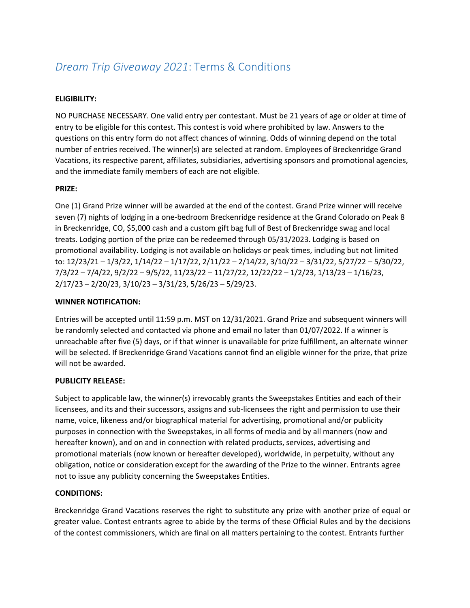# *Dream Trip Giveaway 2021*: Terms & Conditions

# **ELIGIBILITY:**

NO PURCHASE NECESSARY. One valid entry per contestant. Must be 21 years of age or older at time of entry to be eligible for this contest. This contest is void where prohibited by law. Answers to the questions on this entry form do not affect chances of winning. Odds of winning depend on the total number of entries received. The winner(s) are selected at random. Employees of Breckenridge Grand Vacations, its respective parent, affiliates, subsidiaries, advertising sponsors and promotional agencies, and the immediate family members of each are not eligible.

## **PRIZE:**

One (1) Grand Prize winner will be awarded at the end of the contest. Grand Prize winner will receive seven (7) nights of lodging in a one-bedroom Breckenridge residence at the Grand Colorado on Peak 8 in Breckenridge, CO, \$5,000 cash and a custom gift bag full of Best of Breckenridge swag and local treats. Lodging portion of the prize can be redeemed through 05/31/2023. Lodging is based on promotional availability. Lodging is not available on holidays or peak times, including but not limited to: 12/23/21 – 1/3/22, 1/14/22 – 1/17/22, 2/11/22 – 2/14/22, 3/10/22 – 3/31/22, 5/27/22 – 5/30/22, 7/3/22 – 7/4/22, 9/2/22 – 9/5/22, 11/23/22 – 11/27/22, 12/22/22 – 1/2/23, 1/13/23 – 1/16/23, 2/17/23 – 2/20/23, 3/10/23 – 3/31/23, 5/26/23 – 5/29/23.

### **WINNER NOTIFICATION:**

Entries will be accepted until 11:59 p.m. MST on 12/31/2021. Grand Prize and subsequent winners will be randomly selected and contacted via phone and email no later than 01/07/2022. If a winner is unreachable after five (5) days, or if that winner is unavailable for prize fulfillment, an alternate winner will be selected. If Breckenridge Grand Vacations cannot find an eligible winner for the prize, that prize will not be awarded.

#### **PUBLICITY RELEASE:**

Subject to applicable law, the winner(s) irrevocably grants the Sweepstakes Entities and each of their licensees, and its and their successors, assigns and sub-licensees the right and permission to use their name, voice, likeness and/or biographical material for advertising, promotional and/or publicity purposes in connection with the Sweepstakes, in all forms of media and by all manners (now and hereafter known), and on and in connection with related products, services, advertising and promotional materials (now known or hereafter developed), worldwide, in perpetuity, without any obligation, notice or consideration except for the awarding of the Prize to the winner. Entrants agree not to issue any publicity concerning the Sweepstakes Entities.

#### **CONDITIONS:**

Breckenridge Grand Vacations reserves the right to substitute any prize with another prize of equal or greater value. Contest entrants agree to abide by the terms of these Official Rules and by the decisions of the contest commissioners, which are final on all matters pertaining to the contest. Entrants further